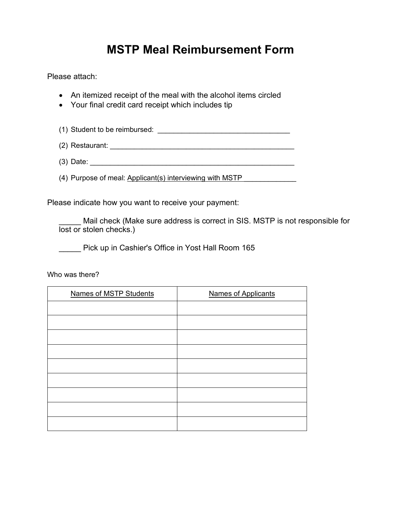## **MSTP Meal Reimbursement Form**

Please attach:

- An itemized receipt of the meal with the alcohol items circled
- Your final credit card receipt which includes tip
- (1) Student to be reimbursed:  $\blacksquare$
- (2) Restaurant: \_\_\_\_\_\_\_\_\_\_\_\_\_\_\_\_\_\_\_\_\_\_\_\_\_\_\_\_\_\_\_\_\_\_\_\_\_\_\_\_\_\_\_\_\_\_
- $(3)$  Date:
- (4) Purpose of meal: Applicant(s) interviewing with MSTP

Please indicate how you want to receive your payment:

Mail check (Make sure address is correct in SIS. MSTP is not responsible for lost or stolen checks.)

**No. 2016** Pick up in Cashier's Office in Yost Hall Room 165

Who was there?

| <b>Names of MSTP Students</b> | <b>Names of Applicants</b> |
|-------------------------------|----------------------------|
|                               |                            |
|                               |                            |
|                               |                            |
|                               |                            |
|                               |                            |
|                               |                            |
|                               |                            |
|                               |                            |
|                               |                            |